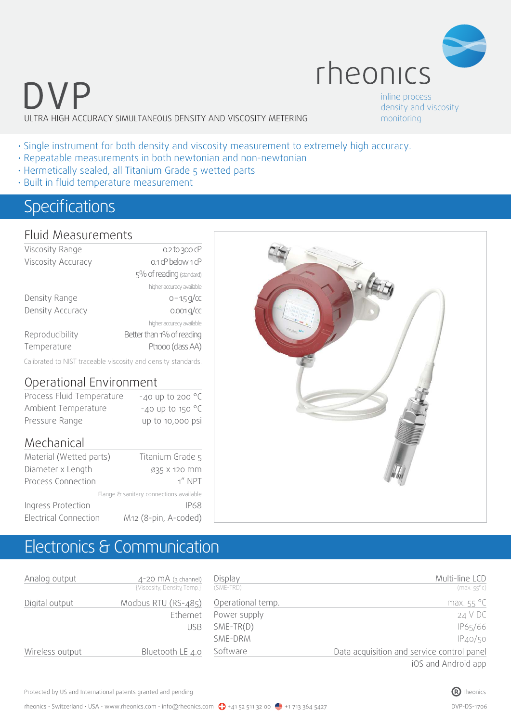

inline process density and viscosity monitoring

- Single instrument for both density and viscosity measurement to extremely high accuracy.
- Repeatable measurements in both newtonian and non-newtonian
- Hermetically sealed, all Titanium Grade 5 wetted parts
- Built in fluid temperature measurement

### Specifications

#### Fluid Measurements

| Viscosity Range    | 0.2 to 300 cP             |
|--------------------|---------------------------|
| Viscosity Accuracy | 0.1 cP below 1 cP         |
|                    | 5% of reading (standard)  |
|                    | higher accuracy available |
| Density Range      | $0 - 1.5$ g/cc            |
| Density Accuracy   | $0.001$ g/cc              |
|                    | higher accuracy available |
| Reproducibility    | Better than 1% of reading |
| Temperature        | Pt1000 (class AA)         |

Calibrated to NIST traceable viscosity and density standards.

#### Operational Environment

| Process Fluid Temperature | $-40$ up to 200 $^{\circ}$ C |
|---------------------------|------------------------------|
| Ambient Temperature       | $-40$ up to 150 °C           |
| Pressure Range            | up to 10,000 psi             |

#### Mechanical

| Material (Wetted parts)      | Titanium Grade 5                        |
|------------------------------|-----------------------------------------|
| Diameter x Length            | Ø35 X 120 MM                            |
| Process Connection           | $1''$ NPT                               |
|                              | Flange & sanitary connections available |
| Ingress Protection           | IP68                                    |
| <b>Electrical Connection</b> | M12 (8-pin, A-coded)                    |

## Electronics & Communication

| Analog output   | $4-20$ MA (3 channel)<br>{Viscosity, Density, Temp.} | Display<br>(SME-TRD) | Multi-line LCD<br>$(max.55^{\circ}c)$      |
|-----------------|------------------------------------------------------|----------------------|--------------------------------------------|
| Digital output  | Modbus RTU (RS-485)                                  | Operational temp.    | max. $55^{\circ}$ C                        |
|                 | Ethernet                                             | Power supply         | 24 V DC                                    |
|                 | <b>USB</b>                                           | $SME-TR(D)$          | IP65/66                                    |
|                 |                                                      | SME-DRM              | IP40/50                                    |
| Wireless output | Bluetooth LE 4.0                                     | Software             | Data acquisition and service control panel |
|                 |                                                      |                      | iOS and Android app                        |



Protected by US and International patents granted and pending  $\bullet$  rheonics rheonics rheonics rheonics rheonics

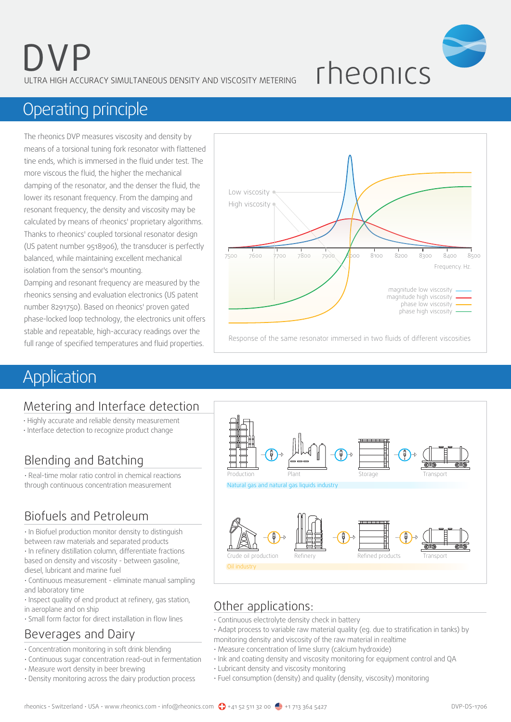

## Operating principle

The rheonics DVP measures viscosity and density by means of a torsional tuning fork resonator with flattened tine ends, which is immersed in the fluid under test. The more viscous the fluid, the higher the mechanical damping of the resonator, and the denser the fluid, the lower its resonant frequency. From the damping and resonant frequency, the density and viscosity may be calculated by means of rheonics' proprietary algorithms. Thanks to rheonics' coupled torsional resonator design (US patent number 9518906), the transducer is perfectly balanced, while maintaining excellent mechanical isolation from the sensor's mounting.

Damping and resonant frequency are measured by the rheonics sensing and evaluation electronics (US patent number 8291750). Based on rheonics' proven gated phase-locked loop technology, the electronics unit offers stable and repeatable, high-accuracy readings over the full range of specified temperatures and fluid properties.



## **Application**

### Metering and Interface detection

- Highly accurate and reliable density measurement
- Interface detection to recognize product change

### Blending and Batching

• Real-time molar ratio control in chemical reactions through continuous concentration measurement

### Biofuels and Petroleum

• In Biofuel production monitor density to distinguish between raw materials and separated products • In refinery distillation column, differentiate fractions based on density and viscosity - between gasoline,

diesel, lubricant and marine fuel

• Continuous measurement - eliminate manual sampling and laboratory time

• Inspect quality of end product at refinery, gas station, in aeroplane and on ship

• Small form factor for direct installation in flow lines

### Beverages and Dairy

- Concentration monitoring in soft drink blending
- Continuous sugar concentration read-out in fermentation
- Measure wort density in beer brewing
- Density monitoring across the dairy production process



### Other applications:

- Continuous electrolyte density check in battery
- Adapt process to variable raw material quality (eg. due to stratification in tanks) by
- monitoring density and viscosity of the raw material in realtime • Measure concentration of lime slurry (calcium hydroxide)
- Ink and coating density and viscosity monitoring for equipment control and QA
- Lubricant density and viscosity monitoring
- Fuel consumption (density) and quality (density, viscosity) monitoring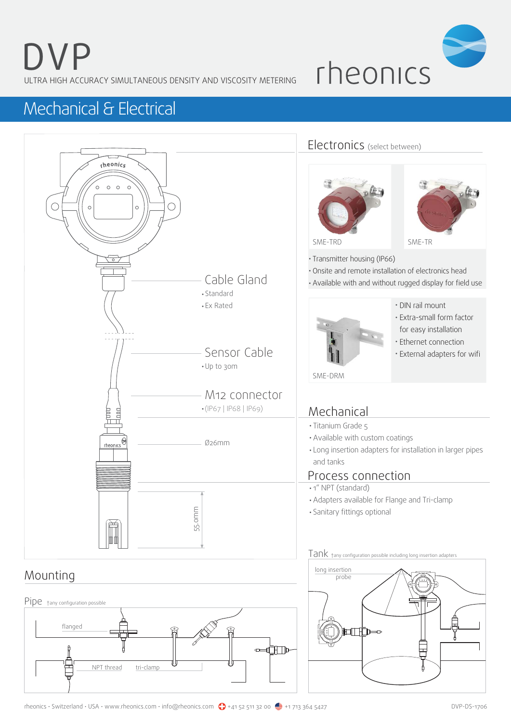

## Mechanical & Electrical

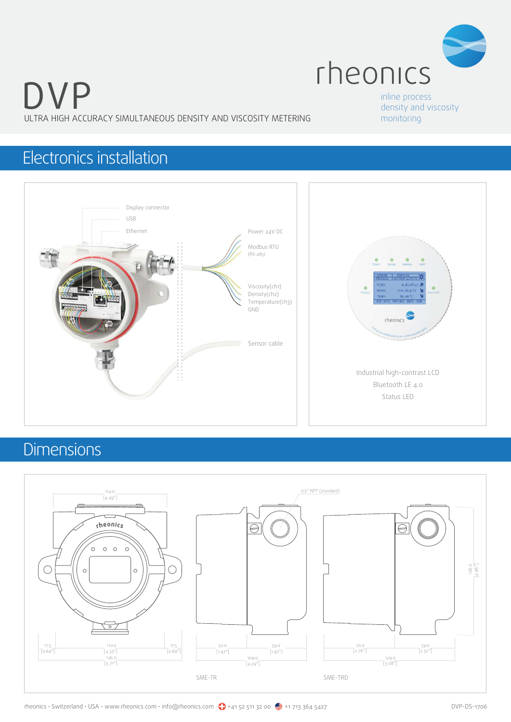

inline process density and viscosity monitoring

### Electronics installation



## **Dimensions**

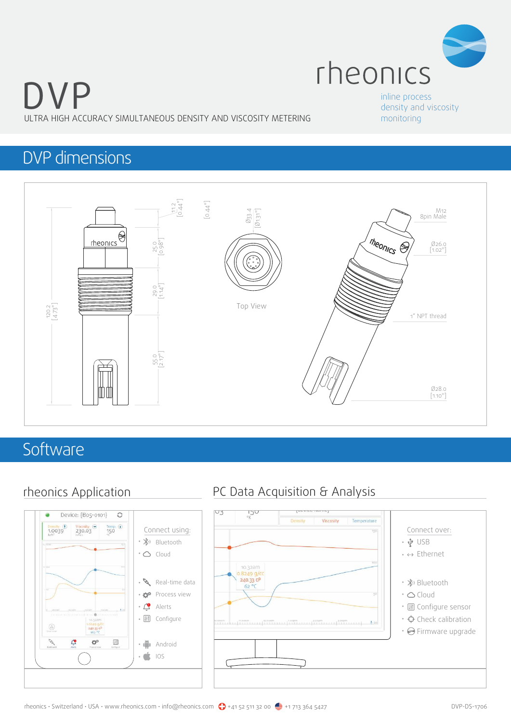

#### inline process density and viscosity monitoring

### DVP dimensions



### **Software**



### rheonics Application PC Data Acquisition & Analysis